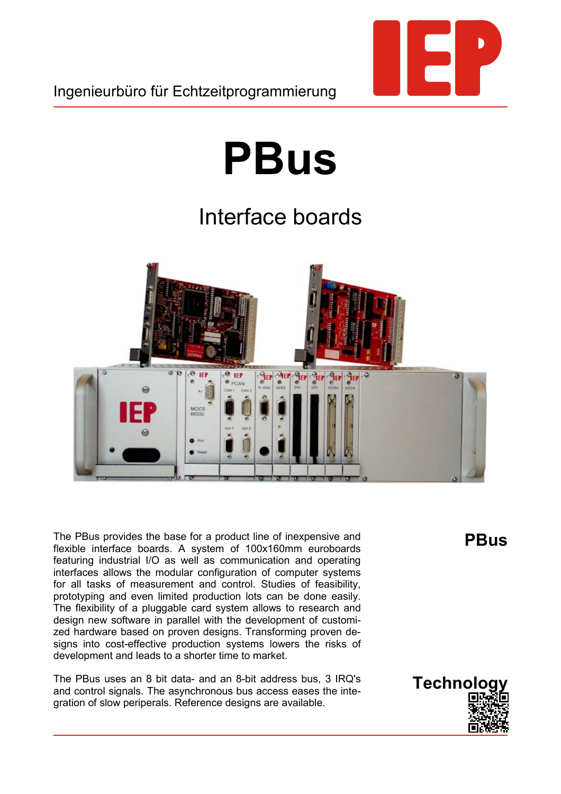

# **PBus**

## Interface boards



The PBus provides the base for a product line of inexpensive and flexible interface boards. A system of 100x160mm euroboards featuring industrial I/O as well as communication and operating interfaces allows the modular configuration of computer systems for all tasks of measurement and control. Studies of feasibility, prototyping and even limited production lots can be done easily. The flexibility of a pluggable card system allows to research and design new software in parallel with the development of customized hardware based on proven designs. Transforming proven designs into cost-effective production systems lowers the risks of development and leads to a shorter time to market.

The PBus uses an 8 bit data- and an 8-bit address bus, 3 IRQ's and control signals. The asynchronous bus access eases the integration of slow periperals. Reference designs are available.

**PBus**